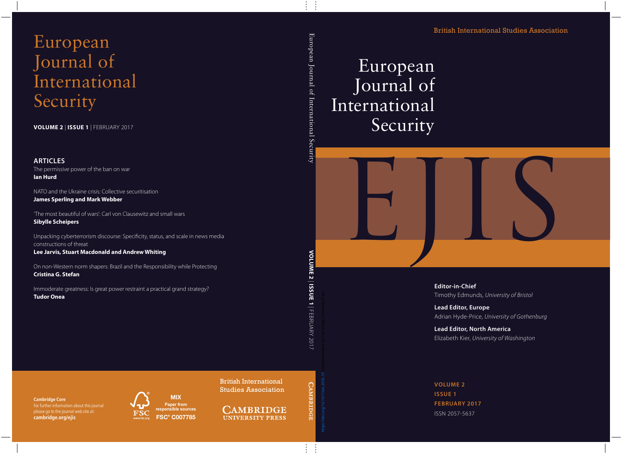# European Journal of International Security EJIS

**Editor-in-Chief** Timothy Edmunds, University of Bristol

**Lead Editor, Europe** Adrian Hyde-Price, University of Gothenburg

**Lead Editor, North America** Elizabeth Kier, University of Washington

**VOLUME 2 ISSUE 1 FEBRUARY 2017** ISSN 2057-5637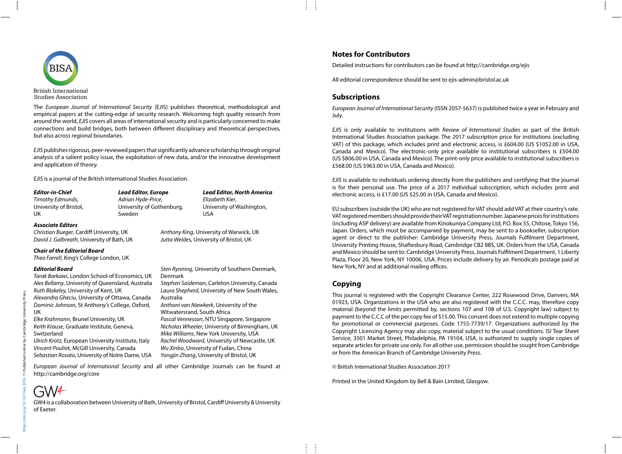

**British International Studies Association** 

The European Journal of International Security (EJIS) publishes theoretical, methodological and empirical papers at the cutting-edge of security research. Welcoming high quality research from around the world, EJIS covers all areas of international security and is particularly concerned to make connections and build bridges, both between different disciplinary and theoretical perspectives, but also across regional boundaries.

EJIS publishes rigorous, peer-reviewed papers that significantly advance scholarship through original analysis of a salient policy issue, the exploitation of new data, and/or the innovative development and application of theory.

EJIS is a journal of the British International Studies Association.

| Editor-in-Chief        | <b>Lead Editor, Europe</b> | <b>Lead Editor, North America</b> |
|------------------------|----------------------------|-----------------------------------|
| Timothy Edmunds,       | Adrian Hyde-Price,         | Elizabeth Kier.                   |
| University of Bristol, | University of Gothenburg,  | University of Washington,         |
| UK                     | Sweden                     | USA                               |

#### *Associate Editors*

Christian Bueger, Cardiff University, UK David J. Galbreath, University of Bath, UK

#### *Chair of the Editorial Board*

Theo Farrell, King's College London, UK

#### *Editorial Board*

Tarak Barkawi, London School of Economics, UK Alex Bellamy, University of Queensland, Australia Ruth Blakeley, University of Kent, UK Alexandra Gheciu, University of Ottawa, Canada Dominic Johnson, St Anthony's College, Oxford, UK Elke Krahmann, Brunel University, UK Keith Krause, Graduate Institute, Geneva, Switzerland

Ulrich Krotz, European University Institute, Italy Vincent Pouliot, McGill University, Canada Sebastian Rosato, University of Notre Dame, USA

Sten Rynning, University of Southern Denmark, Denmark Stephen Saideman, Carleton University, Canada Laura Shepherd, University of New South Wales, Australia Anthoni van Niewkerk, University of the Witwatersrand, South Africa Pascal Vennesson, NTU Singapore, Singapore Nicholas Wheeler, University of Birmingham, UK Mike Williams, New York University, USA Rachel Woodward, University of Newcastle, UK Wu Xinbo, University of Fudan, China Yongjin Zhang, University of Bristol, UK

Anthony King, University of Warwick, UK Jutta Weldes, University of Bristol, UK

European Journal of International Security and all other Cambridge Journals can be found at http://cambridge.org/core

GW4 is a collaboration between University of Bath, University of Bristol, Cardiff University & University of Exeter.